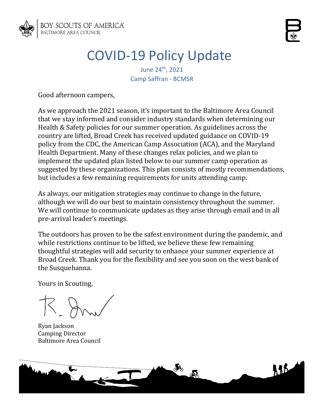

# COVID-19 Policy Update

June 24<sup>th</sup>, 2021 Camp Saffran - BCMSR

Good afternoon campers,

As we approach the 2021 season, it's important to the Baltimore Area Council that we stay informed and consider industry standards when determining our Health & Safety policies for our summer operation. As guidelines across the country are lifted, Broad Creek has received updated guidance on COVID-19 policy from the CDC, the American Camp Association (ACA), and the Maryland Health Department. Many of these changes relax policies, and we plan to implement the updated plan listed below to our summer camp operation as suggested by these organizations. This plan consists of mostly recommendations, but includes a few remaining requirements for units attending camp.

As always, our mitigation strategies may continue to change in the future, although we will do our best to maintain consistency throughout the summer. We will continue to communicate updates as they arise through email and in all pre-arrival leader's meetings.

The outdoors has proven to be the safest environment during the pandemic, and while restrictions continue to be lifted, we believe these few remaining thoughtful strategies will add security to enhance your summer experience at Broad Creek. Thank you for the flexibility and see you soon on the west bank of the Susquehanna.

Yours in Scouting,

Ryan Jackson Camping Director Baltimore Area Council

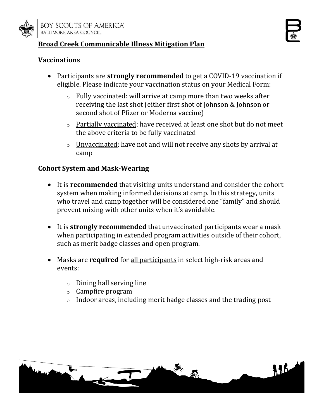

## **Broad Creek Communicable Illness Mitigation Plan**

#### **Vaccinations**

- Participants are **strongly recommended** to get a COVID-19 vaccination if eligible. Please indicate your vaccination status on your Medical Form:
	- o Fully vaccinated: will arrive at camp more than two weeks after receiving the last shot (either first shot of Johnson & Johnson or second shot of Pfizer or Moderna vaccine)
	- o Partially vaccinated: have received at least one shot but do not meet the above criteria to be fully vaccinated
	- $\circ$  Unvaccinated: have not and will not receive any shots by arrival at camp

#### **Cohort System and Mask-Wearing**

- It is **recommended** that visiting units understand and consider the cohort system when making informed decisions at camp. In this strategy, units who travel and camp together will be considered one "family" and should prevent mixing with other units when it's avoidable.
- It is **strongly recommended** that unvaccinated participants wear a mask when participating in extended program activities outside of their cohort, such as merit badge classes and open program.
- Masks are **required** for all participants in select high-risk areas and events:
	- o Dining hall serving line
	- o Campfire program
	- $\circ$  Indoor areas, including merit badge classes and the trading post

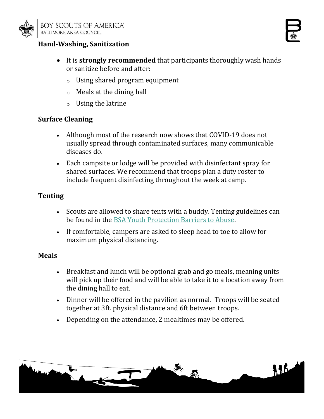





- o Using shared program equipment
- o Meals at the dining hall
- o Using the latrine

#### **Surface Cleaning**

- Although most of the research now shows that COVID-19 does not usually spread through contaminated surfaces, many communicable diseases do.
- Each campsite or lodge will be provided with disinfectant spray for shared surfaces. We recommend that troops plan a duty roster to include frequent disinfecting throughout the week at camp.

## **Tenting**

- Scouts are allowed to share tents with a buddy. Tenting guidelines can be found in the [BSA Youth Protection Barriers to Abuse.](https://www.scouting.org/health-and-safety/gss/)
- If comfortable, campers are asked to sleep head to toe to allow for maximum physical distancing.

#### **Meals**

- Breakfast and lunch will be optional grab and go meals, meaning units will pick up their food and will be able to take it to a location away from the dining hall to eat.
- Dinner will be offered in the pavilion as normal. Troops will be seated together at 3ft. physical distance and 6ft between troops.
- Depending on the attendance, 2 mealtimes may be offered.

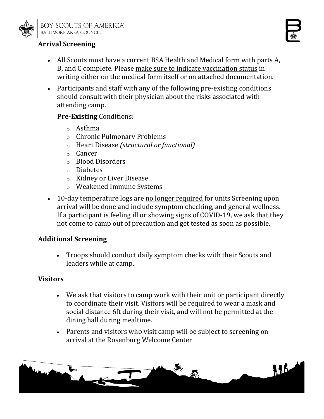

# **Arrival Screening**

- All Scouts must have a current BSA Health and Medical form with parts A, B, and C complete. Please make sure to indicate vaccination status in writing either on the medical form itself or on attached documentation.
- Participants and staff with any of the following pre-existing conditions should consult with their physician about the risks associated with attending camp.

## **Pre-Existing** Conditions:

- o Asthma
- o Chronic Pulmonary Problems
- o Heart Disease *(structural or functional)*
- o Cancer
- o Blood Disorders
- o Diabetes
- o Kidney or Liver Disease
- o Weakened Immune Systems
- 10-day temperature logs are no longer required for units Screening upon arrival will be done and include symptom checking, and general wellness. If a participant is feeling ill or showing signs of COVID-19, we ask that they not come to camp out of precaution and get tested as soon as possible.

## **Additional Screening**

• Troops should conduct daily symptom checks with their Scouts and leaders while at camp.

## **Visitors**

- We ask that visitors to camp work with their unit or participant directly to coordinate their visit. Visitors will be required to wear a mask and social distance 6ft during their visit, and will not be permitted at the dining hall during mealtime.
- Parents and visitors who visit camp will be subject to screening on arrival at the Rosenburg Welcome Center